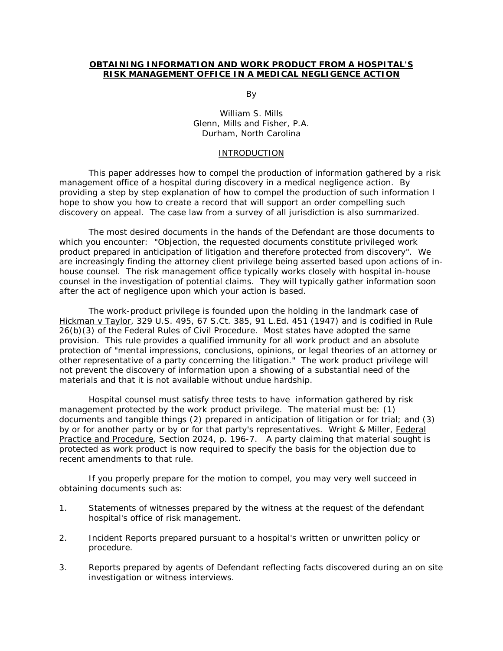## **OBTAINING INFORMATION AND WORK PRODUCT FROM A HOSPITAL'S RISK MANAGEMENT OFFICE IN A MEDICAL NEGLIGENCE ACTION**

and the contract of the By-

 William S. Mills Glenn, Mills and Fisher, P.A. Durham, North Carolina

#### INTRODUCTION

This paper addresses how to compel the production of information gathered by a risk management office of a hospital during discovery in a medical negligence action. By providing a step by step explanation of how to compel the production of such information I hope to show you how to create a record that will support an order compelling such discovery on appeal. The case law from a survey of all jurisdiction is also summarized.

The most desired documents in the hands of the Defendant are those documents to which you encounter: "Objection, the requested documents constitute privileged work product prepared in anticipation of litigation and therefore protected from discovery". We are increasingly finding the attorney client privilege being asserted based upon actions of inhouse counsel. The risk management office typically works closely with hospital in-house counsel in the investigation of potential claims. They will typically gather information soon after the act of negligence upon which your action is based.

The work-product privilege is founded upon the holding in the landmark case of Hickman v Taylor, 329 U.S. 495, 67 S.Ct. 385, 91 L.Ed. 451 (1947) and is codified in Rule 26(b)(3) of the Federal Rules of Civil Procedure. Most states have adopted the same provision. This rule provides a qualified immunity for all work product and an absolute protection of "mental impressions, conclusions, opinions, or legal theories of an attorney or other representative of a party concerning the litigation." The work product privilege will not prevent the discovery of information upon a showing of a substantial need of the materials and that it is not available without undue hardship.

Hospital counsel must satisfy three tests to have information gathered by risk management protected by the work product privilege. The material must be: (1) documents and tangible things (2) prepared in anticipation of litigation or for trial; and (3) by or for another party or by or for that party's representatives. Wright & Miller, Federal Practice and Procedure, Section 2024, p. 196-7. A party claiming that material sought is protected as work product is now required to specify the basis for the objection due to recent amendments to that rule.

If you properly prepare for the motion to compel, you may very well succeed in obtaining documents such as:

- 1. Statements of witnesses prepared by the witness at the request of the defendant hospital's office of risk management.
- 2. Incident Reports prepared pursuant to a hospital's written or unwritten policy or procedure.
- 3. Reports prepared by agents of Defendant reflecting facts discovered during an on site investigation or witness interviews.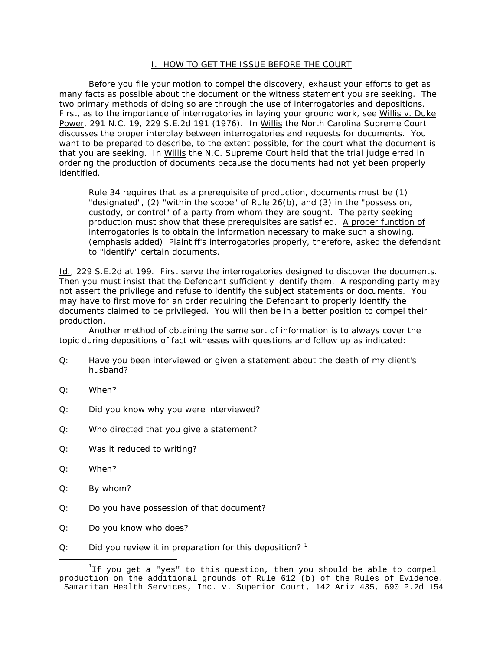## I. HOW TO GET THE ISSUE BEFORE THE COURT

 Before you file your motion to compel the discovery, exhaust your efforts to get as many facts as possible about the document or the witness statement you are seeking. The two primary methods of doing so are through the use of interrogatories and depositions. First, as to the importance of interrogatories in laying your ground work, see Willis v. Duke Power, 291 N.C. 19, 229 S.E.2d 191 (1976). In Willis the North Carolina Supreme Court discusses the proper interplay between interrogatories and requests for documents. You want to be prepared to describe, to the extent possible, for the court what the document is that you are seeking. In Willis the N.C. Supreme Court held that the trial judge erred in ordering the production of documents because the documents had not yet been properly identified.

Rule 34 requires that as a prerequisite of production, documents must be (1) "designated", (2) "within the scope" of Rule 26(b), and (3) in the "possession, custody, or control" of a party from whom they are sought. The party seeking production must show that these prerequisites are satisfied. A proper function of interrogatories is to obtain the information necessary to make such a showing. (emphasis added) Plaintiff's interrogatories properly, therefore, asked the defendant to "identify" certain documents.

Id., 229 S.E.2d at 199. First serve the interrogatories designed to discover the documents. Then you must insist that the Defendant sufficiently identify them. A responding party may not assert the privilege and refuse to identify the subject statements or documents. You may have to first move for an order requiring the Defendant to properly identify the documents claimed to be privileged. You will then be in a better position to compel their production.

Another method of obtaining the same sort of information is to always cover the topic during depositions of fact witnesses with questions and follow up as indicated:

- Q: Have you been interviewed or given a statement about the death of my client's husband?
- Q: When?
- Q: Did you know why you were interviewed?
- Q: Who directed that you give a statement?
- Q: Was it reduced to writing?
- Q: When?
- Q: By whom?
- Q: Do you have possession of that document?
- Q: Do you know who does?
- $Q$ : Did you review it in preparation for this deposition?<sup>1</sup>

 $^{\rm ^1}$ If you get a "yes" to this question, then you should be able to compel production on the additional grounds of Rule 612 (b) of the Rules of Evidence. Samaritan Health Services, Inc. v. Superior Court, 142 Ariz 435, 690 P.2d 154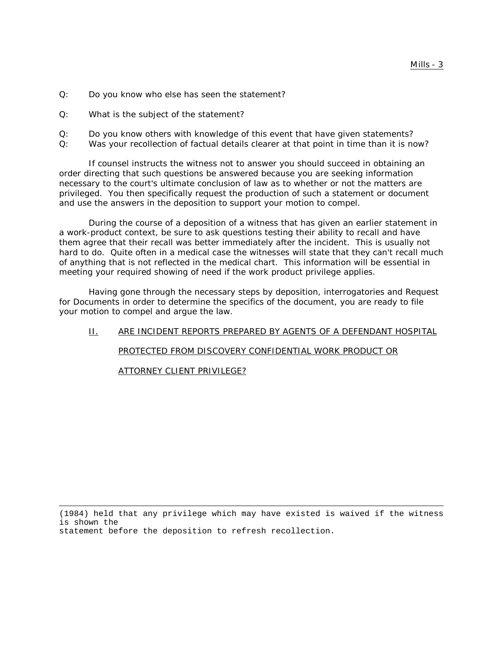- Q: Do you know who else has seen the statement?
- Q: What is the subject of the statement?
- Q: Do you know others with knowledge of this event that have given statements?
- Q: Was your recollection of factual details clearer at that point in time than it is now?

If counsel instructs the witness not to answer you should succeed in obtaining an order directing that such questions be answered because you are seeking information necessary to the court's ultimate conclusion of law as to whether or not the matters are privileged. You then specifically request the production of such a statement or document and use the answers in the deposition to support your motion to compel.

During the course of a deposition of a witness that has given an earlier statement in a work-product context, be sure to ask questions testing their ability to recall and have them agree that their recall was better immediately after the incident. This is usually not hard to do. Quite often in a medical case the witnesses will state that they can't recall much of anything that is not reflected in the medical chart. This information will be essential in meeting your required showing of need if the work product privilege applies.

Having gone through the necessary steps by deposition, interrogatories and Request for Documents in order to determine the specifics of the document, you are ready to file your motion to compel and argue the law.

# II. ARE INCIDENT REPORTS PREPARED BY AGENTS OF A DEFENDANT HOSPITAL PROTECTED FROM DISCOVERY CONFIDENTIAL WORK PRODUCT OR

ATTORNEY CLIENT PRIVILEGE?

(1984) held that any privilege which may have existed is waived if the witness is shown the statement before the deposition to refresh recollection.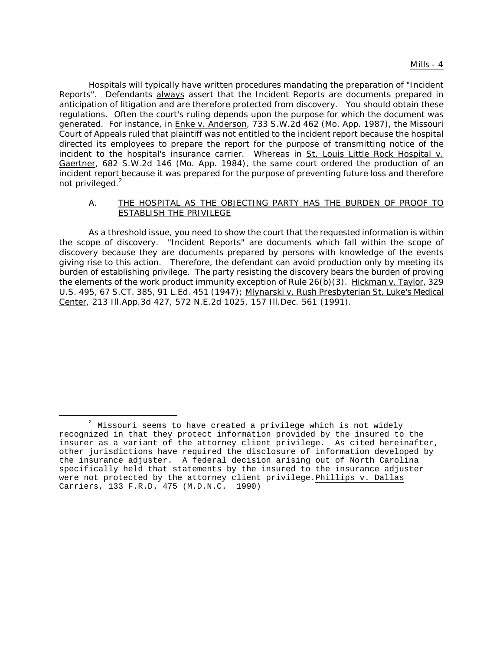Hospitals will typically have written procedures mandating the preparation of "Incident Reports". Defendants always assert that the Incident Reports are documents prepared in anticipation of litigation and are therefore protected from discovery. You should obtain these regulations. Often the court's ruling depends upon the purpose for which the document was generated. For instance, in Enke v. Anderson, 733 S.W.2d 462 (Mo. App. 1987), the Missouri Court of Appeals ruled that plaintiff was not entitled to the incident report because the hospital directed its employees to prepare the report for the purpose of transmitting notice of the incident to the hospital's insurance carrier. Whereas in St. Louis Little Rock Hospital v. Gaertner, 682 S.W.2d 146 (Mo. App. 1984), the same court ordered the production of an incident report because it was prepared for the purpose of preventing future loss and therefore not privileged. $^2$ 

#### A. THE HOSPITAL AS THE OBJECTING PARTY HAS THE BURDEN OF PROOF TO ESTABLISH THE PRIVILEGE

As a threshold issue, you need to show the court that the requested information is within the scope of discovery. "Incident Reports" are documents which fall within the scope of discovery because they are documents prepared by persons with knowledge of the events giving rise to this action. Therefore, the defendant can avoid production only by meeting its burden of establishing privilege. The party resisting the discovery bears the burden of proving the elements of the work product immunity exception of Rule 26(b)(3). Hickman v. Taylor, 329 U.S. 495, 67 S.CT. 385, 91 L.Ed. 451 (1947); Mlynarski v. Rush Presbyterian St. Luke's Medical Center, 213 Ill.App.3d 427, 572 N.E.2d 1025, 157 Ill.Dec. 561 (1991).

 $2^{2}$  Missouri seems to have created a privilege which is not widely recognized in that they protect information provided by the insured to the insurer as a variant of the attorney client privilege. As cited hereinafter, other jurisdictions have required the disclosure of information developed by the insurance adjuster. A federal decision arising out of North Carolina specifically held that statements by the insured to the insurance adjuster were not protected by the attorney client privilege.Phillips v. Dallas Carriers, 133 F.R.D. 475 (M.D.N.C. 1990)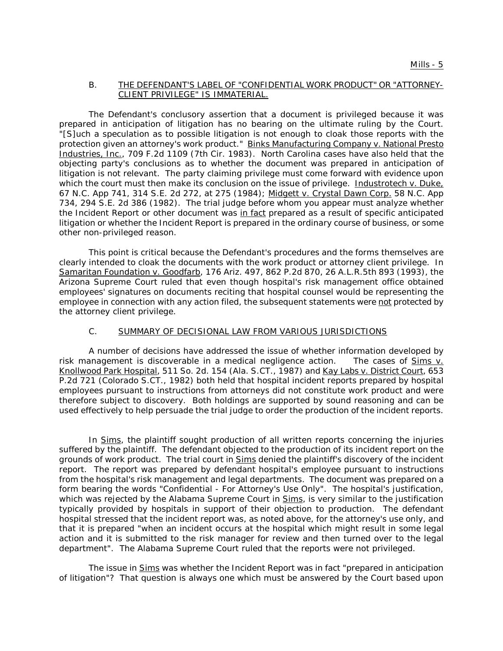#### B. THE DEFENDANT'S LABEL OF "CONFIDENTIAL WORK PRODUCT" OR "ATTORNEY-CLIENT PRIVILEGE" IS IMMATERIAL.

The Defendant's conclusory assertion that a document is privileged because it was prepared in anticipation of litigation has no bearing on the ultimate ruling by the Court. "[S]uch a speculation as to possible litigation is not enough to cloak those reports with the protection given an attorney's work product." Binks Manufacturing Company v. National Presto Industries, Inc., 709 F.2d 1109 (7th Cir. 1983). North Carolina cases have also held that the objecting party's conclusions as to whether the document was prepared in anticipation of litigation is not relevant. The party claiming privilege must come forward with evidence upon which the court must then make its conclusion on the issue of privilege. Industrotech v. Duke, 67 N.C. App 741, 314 S.E. 2d 272, at 275 (1984); Midgett v. Crystal Dawn Corp. 58 N.C. App 734, 294 S.E. 2d 386 (1982). The trial judge before whom you appear must analyze whether the Incident Report or other document was in fact prepared as a result of specific anticipated litigation or whether the Incident Report is prepared in the ordinary course of business, or some other non-privileged reason.

This point is critical because the Defendant's procedures and the forms themselves are clearly intended to cloak the documents with the work product or attorney client privilege. In Samaritan Foundation v. Goodfarb, 176 Ariz. 497, 862 P.2d 870, 26 A.L.R.5th 893 (1993), the Arizona Supreme Court ruled that even though hospital's risk management office obtained employees' signatures on documents reciting that hospital counsel would be representing the employee in connection with any action filed, the subsequent statements were not protected by the attorney client privilege.

#### C. SUMMARY OF DECISIONAL LAW FROM VARIOUS JURISDICTIONS

A number of decisions have addressed the issue of whether information developed by risk management is discoverable in a medical negligence action. The cases of Sims v. Knollwood Park Hospital, 511 So. 2d. 154 (Ala. S.CT., 1987) and Kay Labs v. District Court, 653 P.2d 721 (Colorado S.CT., 1982) both held that hospital incident reports prepared by hospital employees pursuant to instructions from attorneys did not constitute work product and were therefore subject to discovery. Both holdings are supported by sound reasoning and can be used effectively to help persuade the trial judge to order the production of the incident reports.

In Sims, the plaintiff sought production of all written reports concerning the injuries suffered by the plaintiff. The defendant objected to the production of its incident report on the grounds of work product. The trial court in Sims denied the plaintiff's discovery of the incident report. The report was prepared by defendant hospital's employee pursuant to instructions from the hospital's risk management and legal departments. The document was prepared on a form bearing the words "Confidential - For Attorney's Use Only". The hospital's justification, which was rejected by the Alabama Supreme Court in Sims, is very similar to the justification typically provided by hospitals in support of their objection to production. The defendant hospital stressed that the incident report was, as noted above, for the attorney's use only, and that it is prepared "when an incident occurs at the hospital which might result in some legal action and it is submitted to the risk manager for review and then turned over to the legal department". The Alabama Supreme Court ruled that the reports were not privileged.

The issue in Sims was whether the Incident Report was in fact "prepared in anticipation of litigation"? That question is always one which must be answered by the Court based upon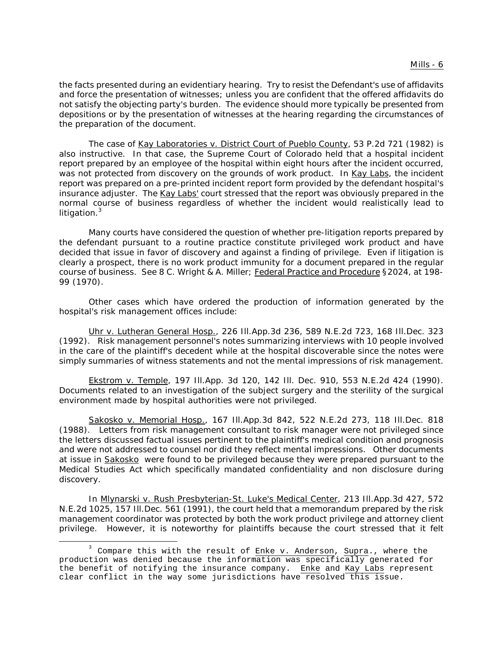#### **Mills - 6**

the facts presented during an evidentiary hearing. Try to resist the Defendant's use of affidavits and force the presentation of witnesses; unless you are confident that the offered affidavits do not satisfy the objecting party's burden. The evidence should more typically be presented from depositions or by the presentation of witnesses at the hearing regarding the circumstances of the preparation of the document.

The case of Kay Laboratories v. District Court of Pueblo County, 53 P.2d 721 (1982) is also instructive. In that case, the Supreme Court of Colorado held that a hospital incident report prepared by an employee of the hospital within eight hours after the incident occurred, was not protected from discovery on the grounds of work product. In Kay Labs, the incident report was prepared on a pre-printed incident report form provided by the defendant hospital's insurance adjuster. The Kay Labs' court stressed that the report was obviously prepared in the normal course of business regardless of whether the incident would realistically lead to litigation.<sup>3</sup>

Many courts have considered the question of whether pre-litigation reports prepared by the defendant pursuant to a routine practice constitute privileged work product and have decided that issue in favor of discovery and against a finding of privilege. Even if litigation is clearly a prospect, there is no work product immunity for a document prepared in the regular course of business. See 8 C. Wright & A. Miller; Federal Practice and Procedure §2024, at 198- 99 (1970).

Other cases which have ordered the production of information generated by the hospital's risk management offices include:

Uhr v. Lutheran General Hosp., 226 Ill.App.3d 236, 589 N.E.2d 723, 168 Ill.Dec. 323 (1992). Risk management personnel's notes summarizing interviews with 10 people involved in the care of the plaintiff's decedent while at the hospital discoverable since the notes were simply summaries of witness statements and not the mental impressions of risk management.

Ekstrom v. Temple, 197 Ill.App. 3d 120, 142 Ill. Dec. 910, 553 N.E.2d 424 (1990). Documents related to an investigation of the subject surgery and the sterility of the surgical environment made by hospital authorities were not privileged.

Sakosko v. Memorial Hosp., 167 Ill.App.3d 842, 522 N.E.2d 273, 118 Ill.Dec. 818 (1988). Letters from risk management consultant to risk manager were not privileged since the letters discussed factual issues pertinent to the plaintiff's medical condition and prognosis and were not addressed to counsel nor did they reflect mental impressions. Other documents at issue in Sakosko were found to be privileged because they were prepared pursuant to the Medical Studies Act which specifically mandated confidentiality and non disclosure during discovery.

In Mlynarski v. Rush Presbyterian-St. Luke's Medical Center, 213 Ill.App.3d 427, 572 N.E.2d 1025, 157 Ill.Dec. 561 (1991), the court held that a memorandum prepared by the risk management coordinator was protected by both the work product privilege and attorney client privilege. However, it is noteworthy for plaintiffs because the court stressed that it felt

 $3$  Compare this with the result of Enke v. Anderson, Supra., where the production was denied because the information was specifically generated for the benefit of notifying the insurance company. Enke and Kay Labs represent clear conflict in the way some jurisdictions have resolved this issue.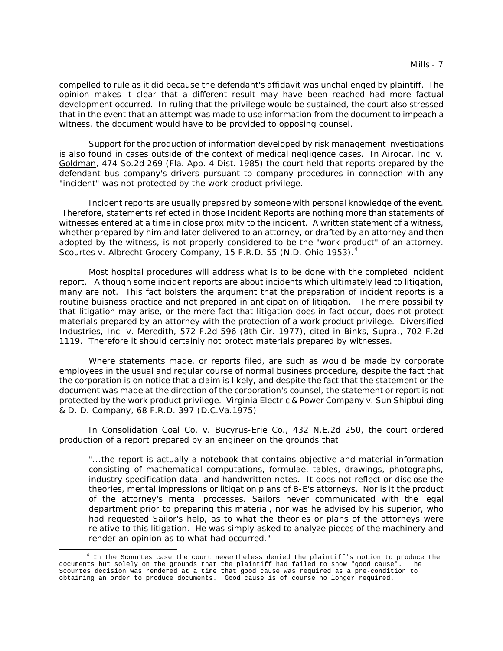compelled to rule as it did because the defendant's affidavit was unchallenged by plaintiff. The opinion makes it clear that a different result may have been reached had more factual development occurred. In ruling that the privilege would be sustained, the court also stressed that in the event that an attempt was made to use information from the document to impeach a witness, the document would have to be provided to opposing counsel.

Support for the production of information developed by risk management investigations is also found in cases outside of the context of medical negligence cases. In Airocar, Inc. v. Goldman, 474 So.2d 269 (Fla. App. 4 Dist. 1985) the court held that reports prepared by the defendant bus company's drivers pursuant to company procedures in connection with any "incident" was not protected by the work product privilege.

Incident reports are usually prepared by someone with personal knowledge of the event. Therefore, statements reflected in those Incident Reports are nothing more than statements of witnesses entered at a time in close proximity to the incident. A written statement of a witness, whether prepared by him and later delivered to an attorney, or drafted by an attorney and then adopted by the witness, is not properly considered to be the "work product" of an attorney. Scourtes v. Albrecht Grocery Company, 15 F.R.D. 55 (N.D. Ohio 1953).4

Most hospital procedures will address what is to be done with the completed incident report. Although some incident reports are about incidents which ultimately lead to litigation, many are not. This fact bolsters the argument that the preparation of incident reports is a routine buisness practice and not prepared in anticipation of litigation. The mere possibility that litigation may arise, or the mere fact that litigation does in fact occur, does not protect materials prepared by an attorney with the protection of a work product privilege. Diversified Industries, Inc. v. Meredith, 572 F.2d 596 (8th Cir. 1977), cited in Binks, Supra., 702 F.2d 1119. Therefore it should certainly not protect materials prepared by witnesses.

Where statements made, or reports filed, are such as would be made by corporate employees in the usual and regular course of normal business procedure, despite the fact that the corporation is on notice that a claim is likely, and despite the fact that the statement or the document was made at the direction of the corporation's counsel, the statement or report is not protected by the work product privilege. Virginia Electric & Power Company v. Sun Shipbuilding & D. D. Company, 68 F.R.D. 397 (D.C.Va.1975)

In Consolidation Coal Co. v. Bucyrus-Erie Co., 432 N.E.2d 250, the court ordered production of a report prepared by an engineer on the grounds that

"...the report is actually a notebook that contains objective and material information consisting of mathematical computations, formulae, tables, drawings, photographs, industry specification data, and handwritten notes. It does not reflect or disclose the theories, mental impressions or litigation plans of B-E's attorneys. Nor is it the product of the attorney's mental processes. Sailors never communicated with the legal department prior to preparing this material, nor was he advised by his superior, who had requested Sailor's help, as to what the theories or plans of the attorneys were relative to this litigation. He was simply asked to analyze pieces of the machinery and render an opinion as to what had occurred."

<sup>&</sup>lt;sup>4</sup> In the Scourtes case the court nevertheless denied the plaintiff's motion to produce the documents but solely on the grounds that the plaintiff had failed to show "good cause". The Scourtes decision was rendered at a time that good cause was required as a pre-condition to obtaining an order to produce documents. Good cause is of course no longer required.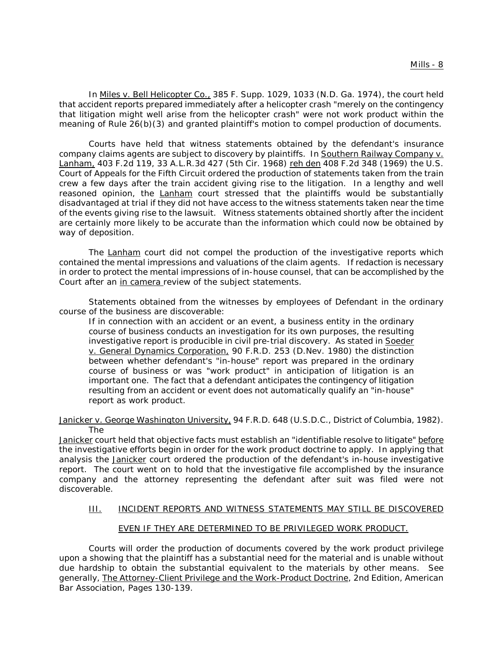In Miles v. Bell Helicopter Co., 385 F. Supp. 1029, 1033 (N.D. Ga. 1974), the court held that accident reports prepared immediately after a helicopter crash "merely on the contingency that litigation might well arise from the helicopter crash" were not work product within the meaning of Rule 26(b)(3) and granted plaintiff's motion to compel production of documents.

Courts have held that witness statements obtained by the defendant's insurance company claims agents are subject to discovery by plaintiffs. In Southern Railway Company v. Lanham, 403 F.2d 119, 33 A.L.R.3d 427 (5th Cir. 1968) reh den 408 F.2d 348 (1969) the U.S. Court of Appeals for the Fifth Circuit ordered the production of statements taken from the train crew a few days after the train accident giving rise to the litigation. In a lengthy and well reasoned opinion, the Lanham court stressed that the plaintiffs would be substantially disadvantaged at trial if they did not have access to the witness statements taken near the time of the events giving rise to the lawsuit. Witness statements obtained shortly after the incident are certainly more likely to be accurate than the information which could now be obtained by way of deposition.

The Lanham court did not compel the production of the investigative reports which contained the mental impressions and valuations of the claim agents. If redaction is necessary in order to protect the mental impressions of in-house counsel, that can be accomplished by the Court after an in camera review of the subject statements.

Statements obtained from the witnesses by employees of Defendant in the ordinary course of the business are discoverable:

If in connection with an accident or an event, a business entity in the ordinary course of business conducts an investigation for its own purposes, the resulting investigative report is producible in civil pre-trial discovery. As stated in Soeder v. General Dynamics Corporation, 90 F.R.D. 253 (D.Nev. 1980) the distinction between whether defendant's "in-house" report was prepared in the ordinary course of business or was "work product" in anticipation of litigation is an important one. The fact that a defendant anticipates the contingency of litigation resulting from an accident or event does not automatically qualify an "in-house" report as work product.

Janicker v. George Washington University, 94 F.R.D. 648 (U.S.D.C., District of Columbia, 1982). The

Janicker court held that objective facts must establish an "identifiable resolve to litigate" before the investigative efforts begin in order for the work product doctrine to apply. In applying that analysis the Janicker court ordered the production of the defendant's in-house investigative report. The court went on to hold that the investigative file accomplished by the insurance company and the attorney representing the defendant after suit was filed were not discoverable.

## III. INCIDENT REPORTS AND WITNESS STATEMENTS MAY STILL BE DISCOVERED

### EVEN IF THEY ARE DETERMINED TO BE PRIVILEGED WORK PRODUCT.

Courts will order the production of documents covered by the work product privilege upon a showing that the plaintiff has a substantial need for the material and is unable without due hardship to obtain the substantial equivalent to the materials by other means. See generally, The Attorney-Client Privilege and the Work-Product Doctrine, 2nd Edition, American Bar Association, Pages 130-139.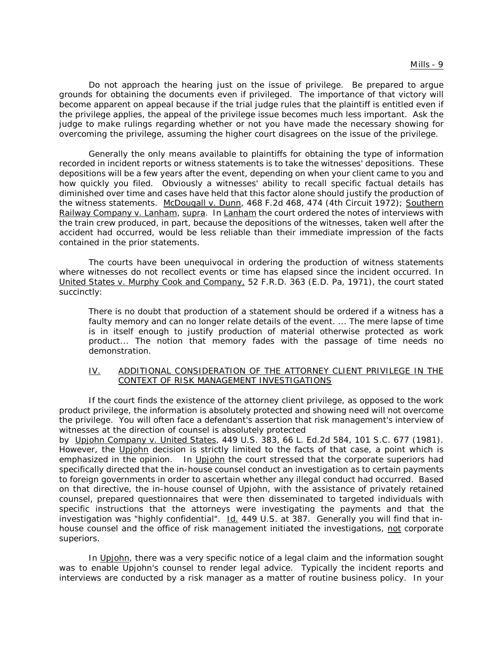Do not approach the hearing just on the issue of privilege. Be prepared to argue grounds for obtaining the documents even if privileged. The importance of that victory will become apparent on appeal because if the trial judge rules that the plaintiff is entitled even if the privilege applies, the appeal of the privilege issue becomes much less important. Ask the judge to make rulings regarding whether or not you have made the necessary showing for overcoming the privilege, assuming the higher court disagrees on the issue of the privilege.

Generally the only means available to plaintiffs for obtaining the type of information recorded in incident reports or witness statements is to take the witnesses' depositions. These depositions will be a few years after the event, depending on when your client came to you and how quickly you filed. Obviously a witnesses' ability to recall specific factual details has diminished over time and cases have held that this factor alone should justify the production of the witness statements. McDougall v. Dunn, 468 F.2d 468, 474 (4th Circuit 1972); Southern Railway Company v. Lanham, supra. In Lanham the court ordered the notes of interviews with the train crew produced, in part, because the depositions of the witnesses, taken well after the accident had occurred, would be less reliable than their immediate impression of the facts contained in the prior statements.

The courts have been unequivocal in ordering the production of witness statements where witnesses do not recollect events or time has elapsed since the incident occurred. In United States v. Murphy Cook and Company, 52 F.R.D. 363 (E.D. Pa, 1971), the court stated succinctly:

There is no doubt that production of a statement should be ordered if a witness has a faulty memory and can no longer relate details of the event. ... The mere lapse of time is in itself enough to justify production of material otherwise protected as work product... The notion that memory fades with the passage of time needs no demonstration.

## IV. ADDITIONAL CONSIDERATION OF THE ATTORNEY CLIENT PRIVILEGE IN THE CONTEXT OF RISK MANAGEMENT INVESTIGATIONS

If the court finds the existence of the attorney client privilege, as opposed to the work product privilege, the information is absolutely protected and showing need will not overcome the privilege. You will often face a defendant's assertion that risk management's interview of witnesses at the direction of counsel is absolutely protected

by Upjohn Company v. United States, 449 U.S. 383, 66 L. Ed.2d 584, 101 S.C. 677 (1981). However, the Upjohn decision is strictly limited to the facts of that case, a point which is emphasized in the opinion. In Upjohn the court stressed that the corporate superiors had specifically directed that the in-house counsel conduct an investigation as to certain payments to foreign governments in order to ascertain whether any illegal conduct had occurred. Based on that directive, the in-house counsel of Upjohn, with the assistance of privately retained counsel, prepared questionnaires that were then disseminated to targeted individuals with specific instructions that the attorneys were investigating the payments and that the investigation was "highly confidential". Id. 449 U.S. at 387. Generally you will find that inhouse counsel and the office of risk management initiated the investigations, not corporate superiors.

In Upjohn, there was a very specific notice of a legal claim and the information sought was to enable Upjohn's counsel to render legal advice. Typically the incident reports and interviews are conducted by a risk manager as a matter of routine business policy. In your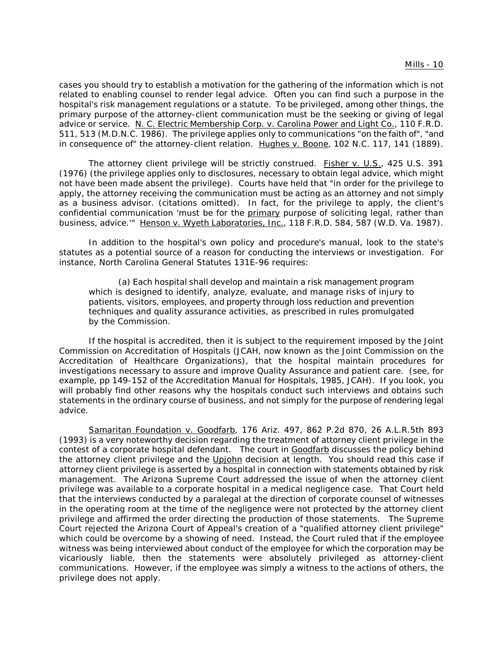cases you should try to establish a motivation for the gathering of the information which is not related to enabling counsel to render legal advice. Often you can find such a purpose in the hospital's risk management regulations or a statute. To be privileged, among other things, the primary purpose of the attorney-client communication must be the seeking or giving of legal advice or service. N. C. Electric Membership Corp. v. Carolina Power and Light Co., 110 F.R.D. 511, 513 (M.D.N.C. 1986). The privilege applies only to communications "on the faith of", "and in consequence of" the attorney-client relation. Hughes v. Boone, 102 N.C. 117, 141 (1889).

The attorney client privilege will be strictly construed. Fisher v. U.S., 425 U.S. 391 (1976) (the privilege applies only to disclosures, necessary to obtain legal advice, which might not have been made absent the privilege). Courts have held that "in order for the privilege to apply, the attorney receiving the communication must be acting as an attorney and not simply as a business advisor. (citations omitted). In fact, for the privilege to apply, the client's confidential communication 'must be for the primary purpose of soliciting legal, rather than business, advice.'" Henson v. Wyeth Laboratories, Inc., 118 F.R.D. 584, 587 (W.D. Va. 1987).

In addition to the hospital's own policy and procedure's manual, look to the state's statutes as a potential source of a reason for conducting the interviews or investigation. For instance, North Carolina General Statutes 131E-96 requires:

(a) Each hospital shall develop and maintain a risk management program which is designed to identify, analyze, evaluate, and manage risks of injury to patients, visitors, employees, and property through loss reduction and prevention techniques and quality assurance activities, as prescribed in rules promulgated by the Commission.

If the hospital is accredited, then it is subject to the requirement imposed by the Joint Commission on Accreditation of Hospitals (JCAH, now known as the Joint Commission on the Accreditation of Healthcare Organizations), that the hospital maintain procedures for investigations necessary to assure and improve Quality Assurance and patient care. (see, for example, pp 149-152 of the Accreditation Manual for Hospitals, 1985, JCAH). If you look, you will probably find other reasons why the hospitals conduct such interviews and obtains such statements in the ordinary course of business, and not simply for the purpose of rendering legal advice.

Samaritan Foundation v. Goodfarb, 176 Ariz. 497, 862 P.2d 870, 26 A.L.R.5th 893 (1993) is a very noteworthy decision regarding the treatment of attorney client privilege in the contest of a corporate hospital defendant. The court in Goodfarb discusses the policy behind the attorney client privilege and the Upjohn decision at length. You should read this case if attorney client privilege is asserted by a hospital in connection with statements obtained by risk management. The Arizona Supreme Court addressed the issue of when the attorney client privilege was available to a corporate hospital in a medical negligence case. That Court held that the interviews conducted by a paralegal at the direction of corporate counsel of witnesses in the operating room at the time of the negligence were not protected by the attorney client privilege and affirmed the order directing the production of those statements. The Supreme Court rejected the Arizona Court of Appeal's creation of a "qualified attorney client privilege" which could be overcome by a showing of need. Instead, the Court ruled that if the employee witness was being interviewed about conduct of the employee for which the corporation may be vicariously liable, then the statements were absolutely privileged as attorney-client communications. However, if the employee was simply a witness to the actions of others, the privilege does not apply.